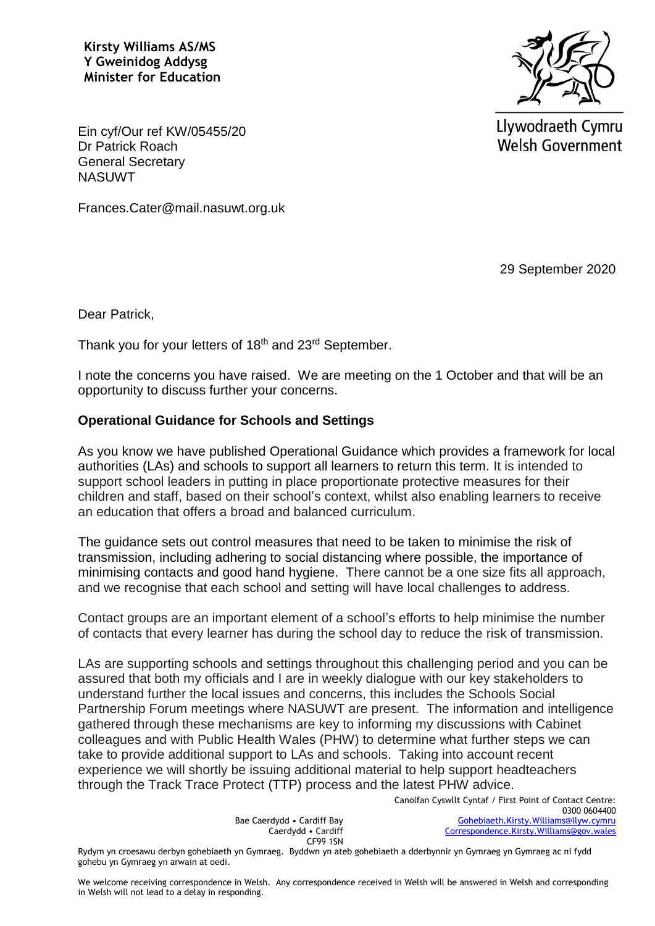**Kirsty Williams AS/MS Y Gweinidog Addysg Minister for Education**



Llywodraeth Cymru **Welsh Government** 

Ein cyf/Our ref KW/05455/20 Dr Patrick Roach General Secretary **NASUWT** 

Frances.Cater@mail.nasuwt.org.uk

29 September 2020

Dear Patrick,

Thank you for your letters of 18<sup>th</sup> and 23<sup>rd</sup> September.

I note the concerns you have raised. We are meeting on the 1 October and that will be an opportunity to discuss further your concerns.

#### **Operational Guidance for Schools and Settings**

As you know we have published Operational Guidance which provides a framework for local authorities (LAs) and schools to support all learners to return this term. It is intended to support school leaders in putting in place proportionate protective measures for their children and staff, based on their school's context, whilst also enabling learners to receive an education that offers a broad and balanced curriculum.

The guidance sets out control measures that need to be taken to minimise the risk of transmission, including adhering to social distancing where possible, the importance of minimising contacts and good hand hygiene. There cannot be a one size fits all approach, and we recognise that each school and setting will have local challenges to address.

Contact groups are an important element of a school's efforts to help minimise the number of contacts that every learner has during the school day to reduce the risk of transmission.

LAs are supporting schools and settings throughout this challenging period and you can be assured that both my officials and I are in weekly dialogue with our key stakeholders to understand further the local issues and concerns, this includes the Schools Social Partnership Forum meetings where NASUWT are present. The information and intelligence gathered through these mechanisms are key to informing my discussions with Cabinet colleagues and with Public Health Wales (PHW) to determine what further steps we can take to provide additional support to LAs and schools. Taking into account recent experience we will shortly be issuing additional material to help support headteachers through the Track Trace Protect (TTP) process and the latest PHW advice.

> Bae Caerdydd • Cardiff Bay Caerdydd • Cardiff CF99 1SN

Canolfan Cyswllt Cyntaf / First Point of Contact Centre: 0300 0604400 [Gohebiaeth.Kirsty.Williams@llyw.cymru](mailto:Gohebiaeth.Kirsty.Williams@llyw.cymru)  [Correspondence.Kirsty.Williams@gov.wales](mailto:Correspondence.Kirsty.Williams@gov.wales)

Rydym yn croesawu derbyn gohebiaeth yn Gymraeg. Byddwn yn ateb gohebiaeth a dderbynnir yn Gymraeg yn Gymraeg ac ni fydd gohebu yn Gymraeg yn arwain at oedi.

We welcome receiving correspondence in Welsh. Any correspondence received in Welsh will be answered in Welsh and corresponding in Welsh will not lead to a delay in responding.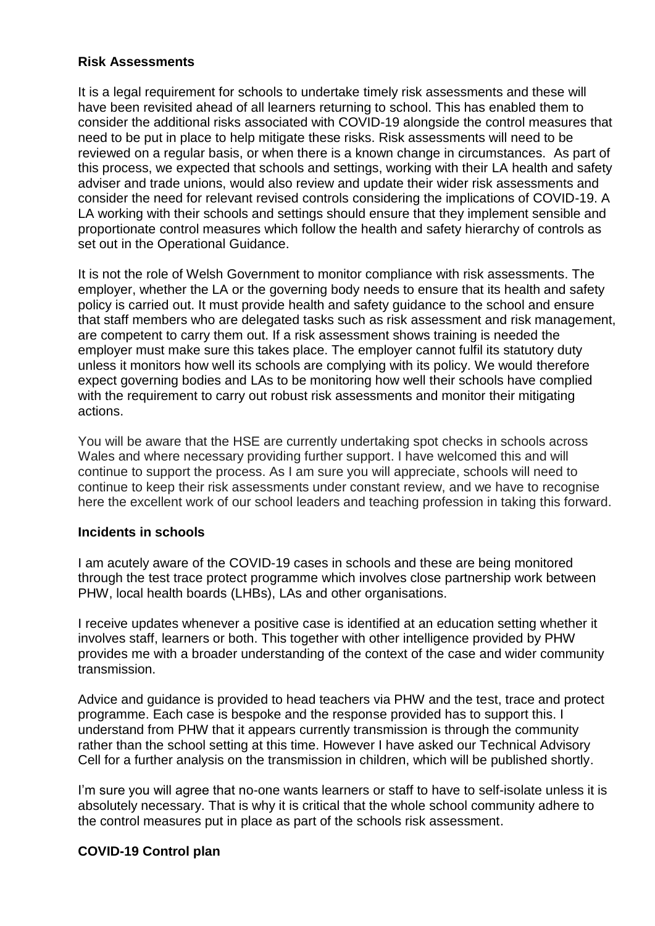### **Risk Assessments**

It is a legal requirement for schools to undertake timely risk assessments and these will have been revisited ahead of all learners returning to school. This has enabled them to consider the additional risks associated with COVID-19 alongside the control measures that need to be put in place to help mitigate these risks. Risk assessments will need to be reviewed on a regular basis, or when there is a known change in circumstances. As part of this process, we expected that schools and settings, working with their LA health and safety adviser and trade unions, would also review and update their wider risk assessments and consider the need for relevant revised controls considering the implications of COVID-19. A LA working with their schools and settings should ensure that they implement sensible and proportionate control measures which follow the health and safety hierarchy of controls as set out in the Operational Guidance.

It is not the role of Welsh Government to monitor compliance with risk assessments. The employer, whether the LA or the governing body needs to ensure that its health and safety policy is carried out. It must provide health and safety guidance to the school and ensure that staff members who are delegated tasks such as risk assessment and risk management, are competent to carry them out. If a risk assessment shows training is needed the employer must make sure this takes place. The employer cannot fulfil its statutory duty unless it monitors how well its schools are complying with its policy. We would therefore expect governing bodies and LAs to be monitoring how well their schools have complied with the requirement to carry out robust risk assessments and monitor their mitigating actions.

You will be aware that the HSE are currently undertaking spot checks in schools across Wales and where necessary providing further support. I have welcomed this and will continue to support the process. As I am sure you will appreciate, schools will need to continue to keep their risk assessments under constant review, and we have to recognise here the excellent work of our school leaders and teaching profession in taking this forward.

#### **Incidents in schools**

I am acutely aware of the COVID-19 cases in schools and these are being monitored through the test trace protect programme which involves close partnership work between PHW, local health boards (LHBs), LAs and other organisations.

I receive updates whenever a positive case is identified at an education setting whether it involves staff, learners or both. This together with other intelligence provided by PHW provides me with a broader understanding of the context of the case and wider community transmission.

Advice and guidance is provided to head teachers via PHW and the test, trace and protect programme. Each case is bespoke and the response provided has to support this. I understand from PHW that it appears currently transmission is through the community rather than the school setting at this time. However I have asked our Technical Advisory Cell for a further analysis on the transmission in children, which will be published shortly.

I'm sure you will agree that no-one wants learners or staff to have to self-isolate unless it is absolutely necessary. That is why it is critical that the whole school community adhere to the control measures put in place as part of the schools risk assessment.

## **COVID-19 Control plan**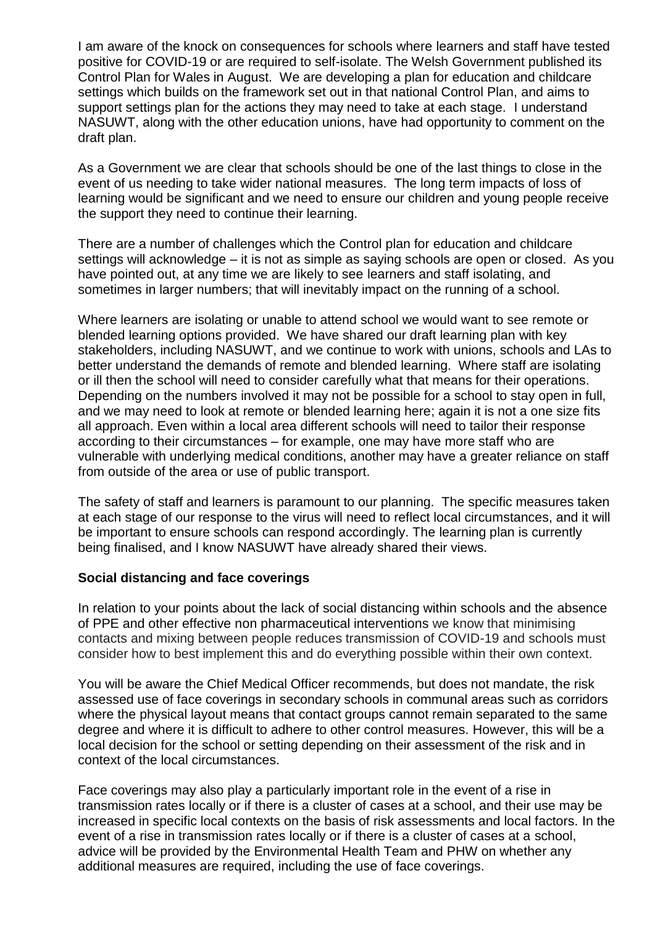I am aware of the knock on consequences for schools where learners and staff have tested positive for COVID-19 or are required to self-isolate. The Welsh Government published its Control Plan for Wales in August. We are developing a plan for education and childcare settings which builds on the framework set out in that national Control Plan, and aims to support settings plan for the actions they may need to take at each stage. I understand NASUWT, along with the other education unions, have had opportunity to comment on the draft plan.

As a Government we are clear that schools should be one of the last things to close in the event of us needing to take wider national measures. The long term impacts of loss of learning would be significant and we need to ensure our children and young people receive the support they need to continue their learning.

There are a number of challenges which the Control plan for education and childcare settings will acknowledge – it is not as simple as saying schools are open or closed. As you have pointed out, at any time we are likely to see learners and staff isolating, and sometimes in larger numbers; that will inevitably impact on the running of a school.

Where learners are isolating or unable to attend school we would want to see remote or blended learning options provided. We have shared our draft learning plan with key stakeholders, including NASUWT, and we continue to work with unions, schools and LAs to better understand the demands of remote and blended learning. Where staff are isolating or ill then the school will need to consider carefully what that means for their operations. Depending on the numbers involved it may not be possible for a school to stay open in full, and we may need to look at remote or blended learning here; again it is not a one size fits all approach. Even within a local area different schools will need to tailor their response according to their circumstances – for example, one may have more staff who are vulnerable with underlying medical conditions, another may have a greater reliance on staff from outside of the area or use of public transport.

The safety of staff and learners is paramount to our planning. The specific measures taken at each stage of our response to the virus will need to reflect local circumstances, and it will be important to ensure schools can respond accordingly. The learning plan is currently being finalised, and I know NASUWT have already shared their views.

#### **Social distancing and face coverings**

In relation to your points about the lack of social distancing within schools and the absence of PPE and other effective non pharmaceutical interventions we know that minimising contacts and mixing between people reduces transmission of COVID-19 and schools must consider how to best implement this and do everything possible within their own context.

You will be aware the Chief Medical Officer recommends, but does not mandate, the risk assessed use of face coverings in secondary schools in communal areas such as corridors where the physical layout means that contact groups cannot remain separated to the same degree and where it is difficult to adhere to other control measures. However, this will be a local decision for the school or setting depending on their assessment of the risk and in context of the local circumstances.

Face coverings may also play a particularly important role in the event of a rise in transmission rates locally or if there is a cluster of cases at a school, and their use may be increased in specific local contexts on the basis of risk assessments and local factors. In the event of a rise in transmission rates locally or if there is a cluster of cases at a school, advice will be provided by the Environmental Health Team and PHW on whether any additional measures are required, including the use of face coverings.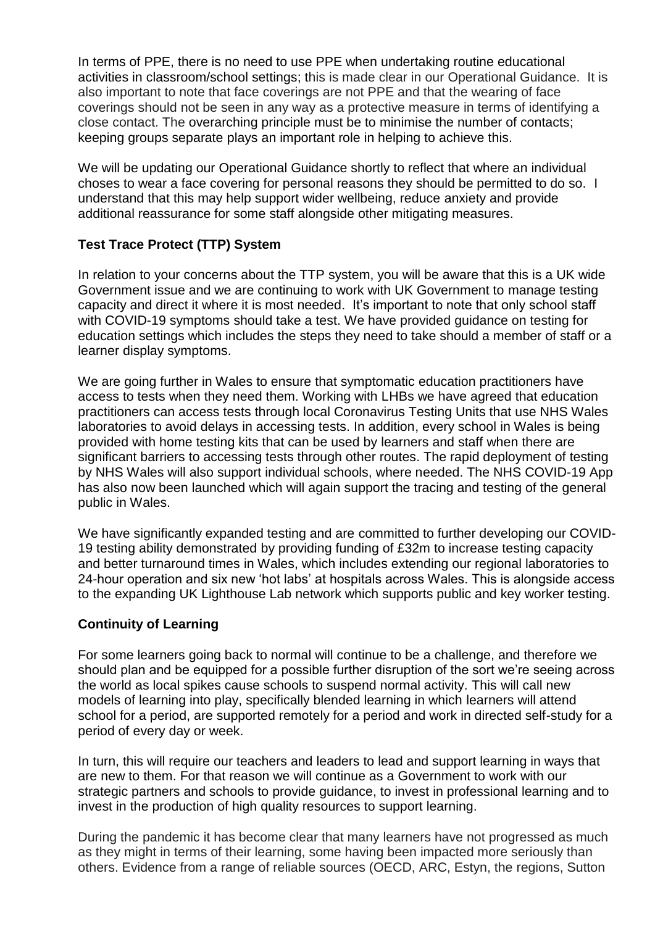In terms of PPE, there is no need to use PPE when undertaking routine educational activities in classroom/school settings; this is made clear in our Operational Guidance. It is also important to note that face coverings are not PPE and that the wearing of face coverings should not be seen in any way as a protective measure in terms of identifying a close contact. The overarching principle must be to minimise the number of contacts; keeping groups separate plays an important role in helping to achieve this.

We will be updating our Operational Guidance shortly to reflect that where an individual choses to wear a face covering for personal reasons they should be permitted to do so. I understand that this may help support wider wellbeing, reduce anxiety and provide additional reassurance for some staff alongside other mitigating measures.

# **Test Trace Protect (TTP) System**

In relation to your concerns about the TTP system, you will be aware that this is a UK wide Government issue and we are continuing to work with UK Government to manage testing capacity and direct it where it is most needed. It's important to note that only school staff with COVID-19 symptoms should take a test. We have provided guidance on testing for education settings which includes the steps they need to take should a member of staff or a learner display symptoms.

We are going further in Wales to ensure that symptomatic education practitioners have access to tests when they need them. Working with LHBs we have agreed that education practitioners can access tests through local Coronavirus Testing Units that use NHS Wales laboratories to avoid delays in accessing tests. In addition, every school in Wales is being provided with home testing kits that can be used by learners and staff when there are significant barriers to accessing tests through other routes. The rapid deployment of testing by NHS Wales will also support individual schools, where needed. The NHS COVID-19 App has also now been launched which will again support the tracing and testing of the general public in Wales.

We have significantly expanded testing and are committed to further developing our COVID-19 testing ability demonstrated by providing funding of £32m to increase testing capacity and better turnaround times in Wales, which includes extending our regional laboratories to 24-hour operation and six new 'hot labs' at hospitals across Wales. This is alongside access to the expanding UK Lighthouse Lab network which supports public and key worker testing.

## **Continuity of Learning**

For some learners going back to normal will continue to be a challenge, and therefore we should plan and be equipped for a possible further disruption of the sort we're seeing across the world as local spikes cause schools to suspend normal activity. This will call new models of learning into play, specifically blended learning in which learners will attend school for a period, are supported remotely for a period and work in directed self-study for a period of every day or week.

In turn, this will require our teachers and leaders to lead and support learning in ways that are new to them. For that reason we will continue as a Government to work with our strategic partners and schools to provide guidance, to invest in professional learning and to invest in the production of high quality resources to support learning.

During the pandemic it has become clear that many learners have not progressed as much as they might in terms of their learning, some having been impacted more seriously than others. Evidence from a range of reliable sources (OECD, ARC, Estyn, the regions, Sutton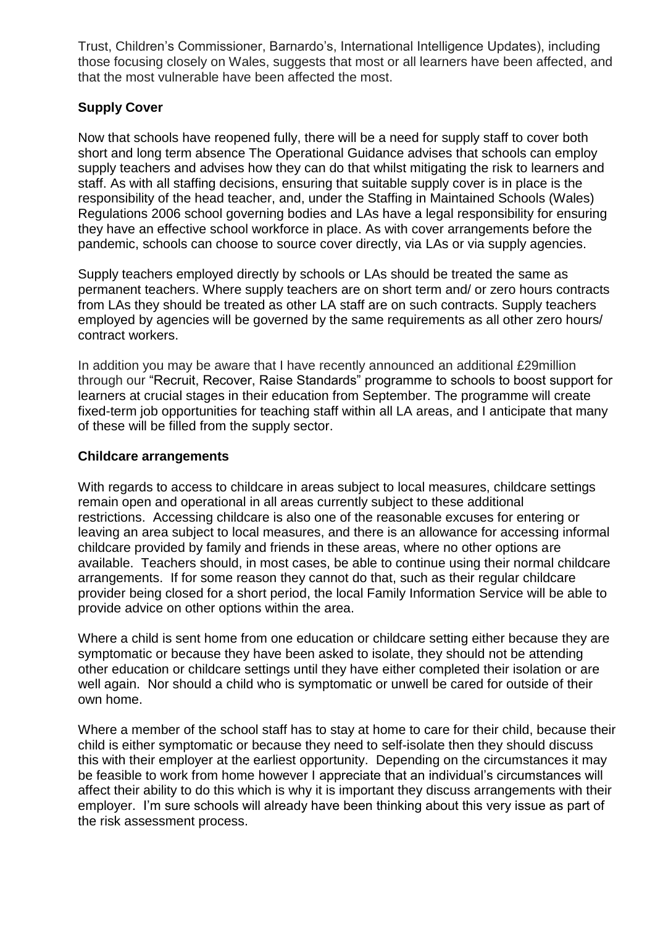Trust, Children's Commissioner, Barnardo's, International Intelligence Updates), including those focusing closely on Wales, suggests that most or all learners have been affected, and that the most vulnerable have been affected the most.

# **Supply Cover**

Now that schools have reopened fully, there will be a need for supply staff to cover both short and long term absence The Operational Guidance advises that schools can employ supply teachers and advises how they can do that whilst mitigating the risk to learners and staff. As with all staffing decisions, ensuring that suitable supply cover is in place is the responsibility of the head teacher, and, under the Staffing in Maintained Schools (Wales) Regulations 2006 school governing bodies and LAs have a legal responsibility for ensuring they have an effective school workforce in place. As with cover arrangements before the pandemic, schools can choose to source cover directly, via LAs or via supply agencies.

Supply teachers employed directly by schools or LAs should be treated the same as permanent teachers. Where supply teachers are on short term and/ or zero hours contracts from LAs they should be treated as other LA staff are on such contracts. Supply teachers employed by agencies will be governed by the same requirements as all other zero hours/ contract workers.

In addition you may be aware that I have recently announced an additional £29million through our "Recruit, Recover, Raise Standards" programme to schools to boost support for learners at crucial stages in their education from September. The programme will create fixed-term job opportunities for teaching staff within all LA areas, and I anticipate that many of these will be filled from the supply sector.

#### **Childcare arrangements**

With regards to access to childcare in areas subject to local measures, childcare settings remain open and operational in all areas currently subject to these additional restrictions. Accessing childcare is also one of the reasonable excuses for entering or leaving an area subject to local measures, and there is an allowance for accessing informal childcare provided by family and friends in these areas, where no other options are available. Teachers should, in most cases, be able to continue using their normal childcare arrangements. If for some reason they cannot do that, such as their regular childcare provider being closed for a short period, the local Family Information Service will be able to provide advice on other options within the area.

Where a child is sent home from one education or childcare setting either because they are symptomatic or because they have been asked to isolate, they should not be attending other education or childcare settings until they have either completed their isolation or are well again. Nor should a child who is symptomatic or unwell be cared for outside of their own home.

Where a member of the school staff has to stay at home to care for their child, because their child is either symptomatic or because they need to self-isolate then they should discuss this with their employer at the earliest opportunity. Depending on the circumstances it may be feasible to work from home however I appreciate that an individual's circumstances will affect their ability to do this which is why it is important they discuss arrangements with their employer. I'm sure schools will already have been thinking about this very issue as part of the risk assessment process.